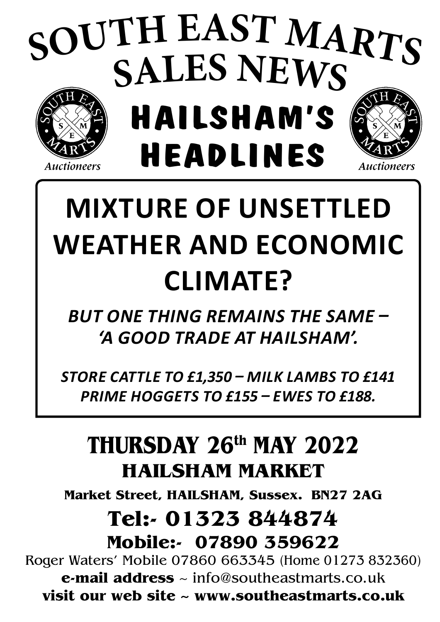# **HAILSHAM'S HEADLINES <sup>S</sup>OUT<sup>H</sup> <sup>E</sup>AS<sup>T</sup> <sup>M</sup>ART<sup>S</sup> SALES NEWS**

#### **Auctioneers**

# **Mixture of unsettled weather and economic climate?**

Auctioneers

*but One thing remains the same – 'a good trade at Hailsham'.*

*store cattle to £1,350 – Milk lambs to £141 prime Hoggets to £155 – Ewes to £188.*

# **THURSDAY 26th MAY 2022 HAILSHAM MARKET**

**Market Street, HAILSHAM, Sussex. BN27 2AG**

# **Tel:- 01323 844874 Mobile:- 07890 359622**

Roger Waters' Mobile 07860 663345 (Home 01273 832360) **e-mail address** ~ info@southeastmarts.co.uk **visit our web site ~ www.southeastmarts.co.uk**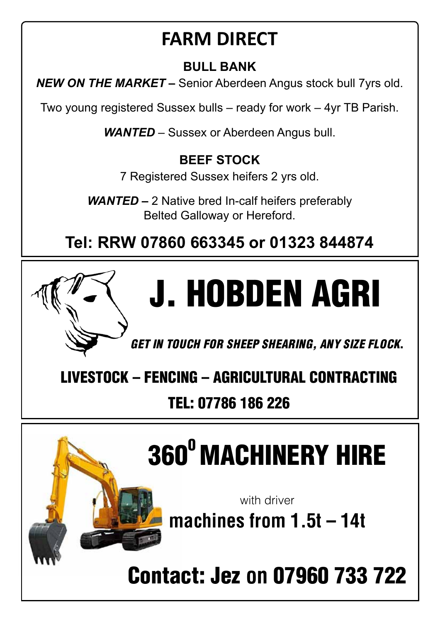# **FARM DIRECT**

### **BULL BANK**

*NEW ON THE MARKET –* Senior Aberdeen Angus stock bull 7yrs old.

Two young registered Sussex bulls – ready for work – 4yr TB Parish.

*WANTED* – Sussex or Aberdeen Angus bull.

### **BEEF STOCK**

7 Registered Sussex heifers 2 yrs old.

*WANTED –* 2 Native bred In-calf heifers preferably Belted Galloway or Hereford.

**Tel: RRW 07860 663345 or 01323 844874**



*Get in touch for sheep shearing, Any size flock*.

livestock – fencing – agricultural contracting

## Tel: 07786 186 226

# 360<sup>°</sup> MACHINERY HIRE

with driver

machines from 1.5t – 14t

Contact: Jez on 07960 733 722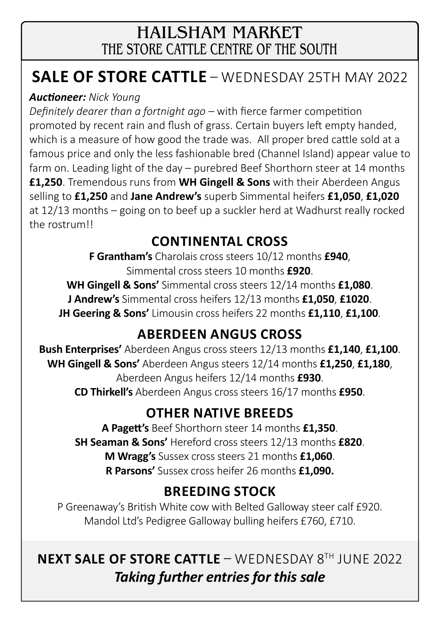### HAILSHAM MARKET THE STORE CATTLE CENTRE OF THE SOUTH

## **Sale of Store Cattle** – wednesday 25th May 2022

#### *Auctioneer: Nick Young*

*Definitely dearer than a fortnight ago –* with fierce farmer competition promoted by recent rain and flush of grass. Certain buyers left empty handed, which is a measure of how good the trade was. All proper bred cattle sold at a famous price and only the less fashionable bred (Channel Island) appear value to farm on. Leading light of the day – purebred Beef Shorthorn steer at 14 months **£1,250**. Tremendous runs from **WH Gingell & Sons** with their Aberdeen Angus selling to **£1,250** and **Jane Andrew's** superb Simmental heifers **£1,050**, **£1,020** at 12/13 months – going on to beef up a suckler herd at Wadhurst really rocked the rostrum!!

### **continental cross**

**F Grantham's** Charolais cross steers 10/12 months **£940**, Simmental cross steers 10 months **£920**.

**WH Gingell & Sons'** Simmental cross steers 12/14 months **£1,080**.

**J Andrew's** Simmental cross heifers 12/13 months **£1,050**, **£1020**.

**JH Geering & Sons'** Limousin cross heifers 22 months **£1,110**, **£1,100**.

### **aberdeen angus cross**

**Bush Enterprises'** Aberdeen Angus cross steers 12/13 months **£1,140**, **£1,100**. **WH Gingell & Sons'** Aberdeen Angus steers 12/14 months **£1,250**, **£1,180**, Aberdeen Angus heifers 12/14 months **£930**. **CD Thirkell's** Aberdeen Angus cross steers 16/17 months **£950**.

### **other native breeds**

**A Pagett's** Beef Shorthorn steer 14 months **£1,350**. **SH Seaman & Sons'** Hereford cross steers 12/13 months **£820**. **M Wragg's** Sussex cross steers 21 months **£1,060**. **R Parsons'** Sussex cross heifer 26 months **£1,090.**

### **breeding stock**

P Greenaway's British White cow with Belted Galloway steer calf £920. Mandol Ltd's Pedigree Galloway bulling heifers £760, £710.

### **next Sale of Store Cattle** – wednesday 8th june 2022 *Taking further entries for this sale*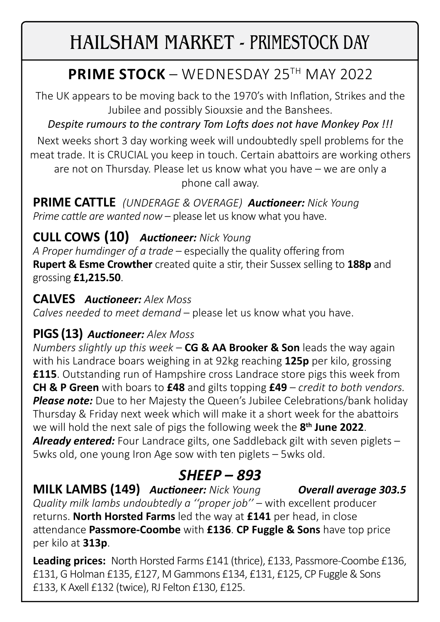# HAILSHAM MARKET - PRIMESTOCK DAY

## **PRIME STOCK** – WEDNESDAY 25TH MAY 2022

The UK appears to be moving back to the 1970's with Inflation, Strikes and the Jubilee and possibly Siouxsie and the Banshees.

### *Despite rumours to the contrary Tom Lofts does not have Monkey Pox !!!*

Next weeks short 3 day working week will undoubtedly spell problems for the meat trade. It is CRUCIAL you keep in touch. Certain abattoirs are working others are not on Thursday. Please let us know what you have – we are only a phone call away.

**PRIME CATTLE** *(UNDERAGE & OVERAGE) Auctioneer: Nick Young Prime cattle are wanted now* – please let us know what you have.

### **CULL COWS (10)** *Auctioneer: Nick Young*

*A Proper humdinger of a trade* – especially the quality offering from **Rupert & Esme Crowther** created quite a stir, their Sussex selling to **188p** and grossing **£1,215.50**.

#### **CALVES** *Auctioneer: Alex Moss*

*Calves needed to meet demand* – please let us know what you have.

### **PIGS (13)** *Auctioneer: Alex Moss*

*Numbers slightly up this week* – **CG & AA Brooker & Son** leads the way again with his Landrace boars weighing in at 92kg reaching **125p** per kilo, grossing **£115**. Outstanding run of Hampshire cross Landrace store pigs this week from **CH & P Green** with boars to **£48** and gilts topping **£49** – *credit to both vendors.* **Please note:** Due to her Majesty the Queen's Jubilee Celebrations/bank holiday Thursday & Friday next week which will make it a short week for the abattoirs we will hold the next sale of pigs the following week the **8th June 2022**. *Already entered:* Four Landrace gilts, one Saddleback gilt with seven piglets – 5wks old, one young Iron Age sow with ten piglets – 5wks old.

### *SHEEP – 893*

**MILK LAMBS (149)** *Auctioneer: Nick Young Overall average 303.5 Quality milk lambs undoubtedly a "proper job"* – with excellent producer returns. **North Horsted Farms** led the way at **£141** per head, in close attendance **Passmore-Coombe** with **£136**. **CP Fuggle & Sons** have top price per kilo at **313p**.

**Leading prices:** North Horsted Farms £141 (thrice), £133, Passmore-Coombe £136, £131, G Holman £135, £127, M Gammons £134, £131, £125, CP Fuggle & Sons £133, K Axell £132 (twice), RJ Felton £130, £125.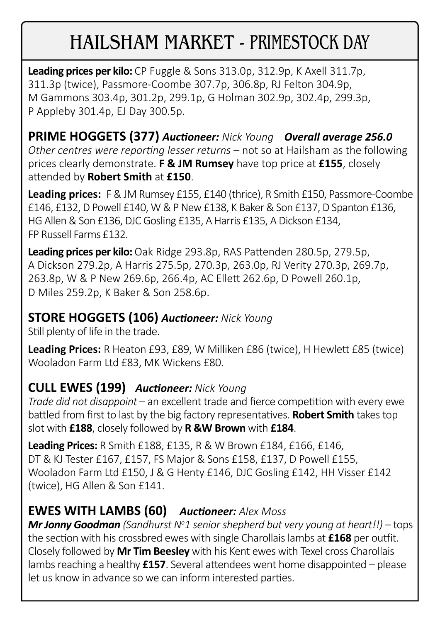# HAILSHAM MARKET - PRIMESTOCK DAY

**Leading prices per kilo:** CP Fuggle & Sons 313.0p, 312.9p, K Axell 311.7p, 311.3p (twice), Passmore-Coombe 307.7p, 306.8p, RJ Felton 304.9p, M Gammons 303.4p, 301.2p, 299.1p, G Holman 302.9p, 302.4p, 299.3p, P Appleby 301.4p, EJ Day 300.5p.

**PRIME HOGGETS (377)** *Auctioneer: Nick Young Overall average 256.0 Other centres were reporting lesser returns* – not so at Hailsham as the following prices clearly demonstrate. **F & JM Rumsey** have top price at **£155**, closely attended by **Robert Smith** at **£150**.

**Leading prices:** F & JM Rumsey £155, £140 (thrice), R Smith £150, Passmore-Coombe £146, £132, D Powell £140, W & P New £138, K Baker & Son £137, D Spanton £136, HG Allen & Son £136, DJC Gosling £135, A Harris £135, A Dickson £134, FP Russell Farms £132.

**Leading prices per kilo:** Oak Ridge 293.8p, RAS Pattenden 280.5p, 279.5p, A Dickson 279.2p, A Harris 275.5p, 270.3p, 263.0p, RJ Verity 270.3p, 269.7p, 263.8p, W & P New 269.6p, 266.4p, AC Ellett 262.6p, D Powell 260.1p, D Miles 259.2p, K Baker & Son 258.6p.

### **STORE HOGGETS (106)** *Auctioneer: Nick Young*

Still plenty of life in the trade.

**Leading Prices:** R Heaton £93, £89, W Milliken £86 (twice), H Hewlett £85 (twice) Wooladon Farm Ltd £83, MK Wickens £80.

### **CULL EWES (199)** *Auctioneer: Nick Young*

*Trade did not disappoint* – an excellent trade and fierce competition with every ewe battled from first to last by the big factory representatives. **Robert Smith** takes top slot with **£188**, closely followed by **R &W Brown** with **£184**.

**Leading Prices:** R Smith £188, £135, R & W Brown £184, £166, £146, DT & KJ Tester £167, £157, FS Major & Sons £158, £137, D Powell £155, Wooladon Farm Ltd £150, J & G Henty £146, DJC Gosling £142, HH Visser £142 (twice), HG Allen & Son £141.

### **EWES WITH LAMBS (60)** *Auctioneer: Alex Moss*

*Mr Jonny Goodman (Sandhurst N<sup>o</sup> 1 senior shepherd but very young at heart!!) –* tops the section with his crossbred ewes with single Charollais lambs at **£168** per outfit. Closely followed by **Mr Tim Beesley** with his Kent ewes with Texel cross Charollais lambs reaching a healthy **£157**. Several attendees went home disappointed – please let us know in advance so we can inform interested parties.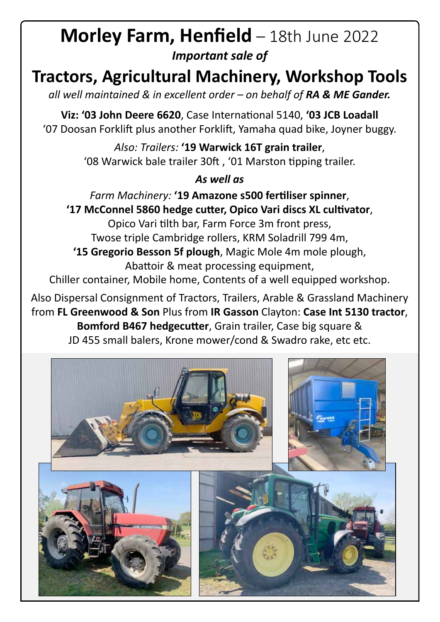### **Morley Farm, Henfield** – 18th June 2022 *Important sale of*

## **Tractors, Agricultural Machinery, Workshop Tools**

*all well maintained & in excellent order – on behalf of RA & ME Gander.*

**Viz: '03 John Deere 6620**, Case International 5140, **'03 JCB Loadall** '07 Doosan Forklift plus another Forklift, Yamaha quad bike, Joyner buggy.

> *Also: Trailers:* **'19 Warwick 16T grain trailer**, '08 Warwick bale trailer 30ft , '01 Marston tipping trailer.

#### *As well as*

*Farm Machinery:* **'19 Amazone s500 fertiliser spinner**, **'17 McConnel 5860 hedge cutter, Opico Vari discs XL cultivator**, Opico Vari tilth bar, Farm Force 3m front press, Twose triple Cambridge rollers, KRM Soladrill 799 4m, **'15 Gregorio Besson 5f plough**, Magic Mole 4m mole plough, Abattoir & meat processing equipment,

Chiller container, Mobile home, Contents of a well equipped workshop.

Also Dispersal Consignment of Tractors, Trailers, Arable & Grassland Machinery from **FL Greenwood & Son** Plus from **IR Gasson** Clayton: **Case Int 5130 tractor**, **Bomford B467 hedgecutter**, Grain trailer, Case big square & JD 455 small balers, Krone mower/cond & Swadro rake, etc etc.

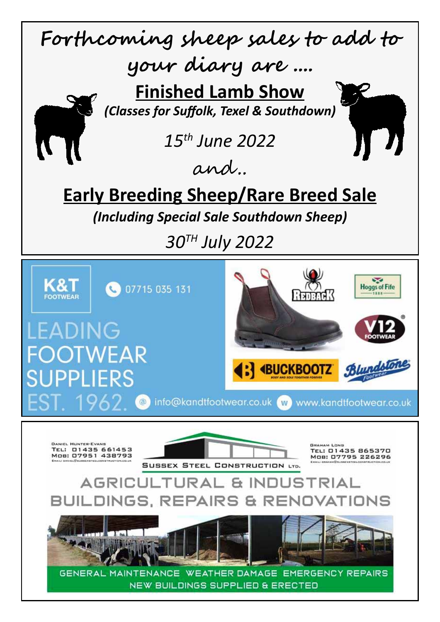